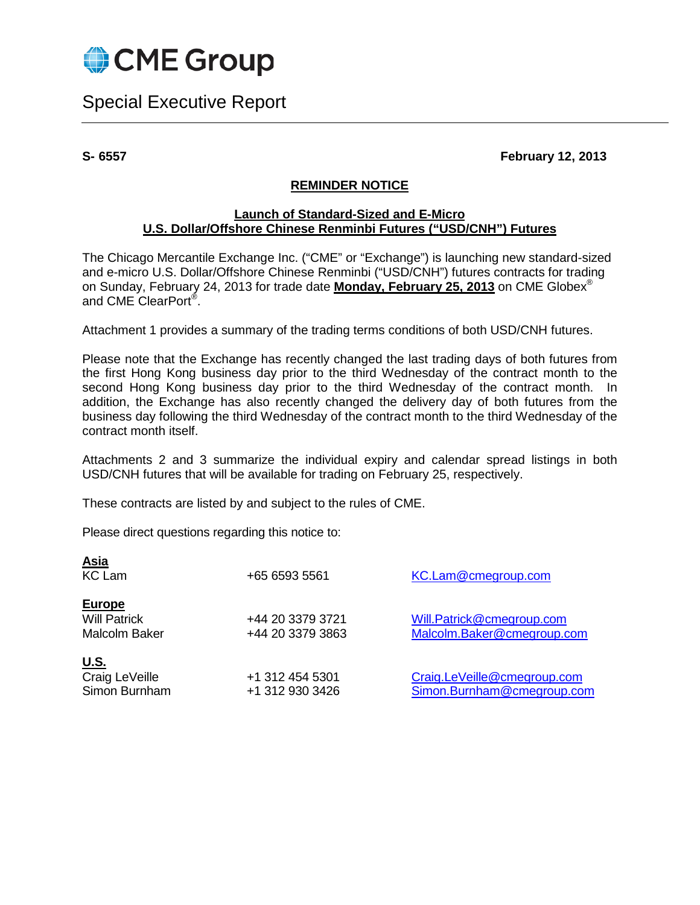

Special Executive Report

**S- 6557 February 12, 2013**

### **REMINDER NOTICE**

### **Launch of Standard-Sized and E-Micro U.S. Dollar/Offshore Chinese Renminbi Futures ("USD/CNH") Futures**

The Chicago Mercantile Exchange Inc. ("CME" or "Exchange") is launching new standard-sized and e-micro U.S. Dollar/Offshore Chinese Renminbi ("USD/CNH") futures contracts for trading on Sunday, February 24, 2013 for trade date **Monday, February 25, 2013** on CME Globex® and CME ClearPort®.

Attachment 1 provides a summary of the trading terms conditions of both USD/CNH futures.

Please note that the Exchange has recently changed the last trading days of both futures from the first Hong Kong business day prior to the third Wednesday of the contract month to the second Hong Kong business day prior to the third Wednesday of the contract month. In addition, the Exchange has also recently changed the delivery day of both futures from the business day following the third Wednesday of the contract month to the third Wednesday of the contract month itself.

Attachments 2 and 3 summarize the individual expiry and calendar spread listings in both USD/CNH futures that will be available for trading on February 25, respectively.

These contracts are listed by and subject to the rules of CME.

Please direct questions regarding this notice to:

<span id="page-0-0"></span>

| <b>Asia</b><br><b>KC Lam</b>                                 | +65 6593 5561                        | KC.Lam@cmegroup.com                                       |
|--------------------------------------------------------------|--------------------------------------|-----------------------------------------------------------|
| <b>Europe</b><br><b>Will Patrick</b><br><b>Malcolm Baker</b> | +44 20 3379 3721<br>+44 20 3379 3863 | Will.Patrick@cmegroup.com<br>Malcolm.Baker@cmegroup.com   |
| <u>U.S.</u><br>Craig LeVeille<br>Simon Burnham               | +1 312 454 5301<br>+1 312 930 3426   | Craig.LeVeille@cmegroup.com<br>Simon.Burnham@cmegroup.com |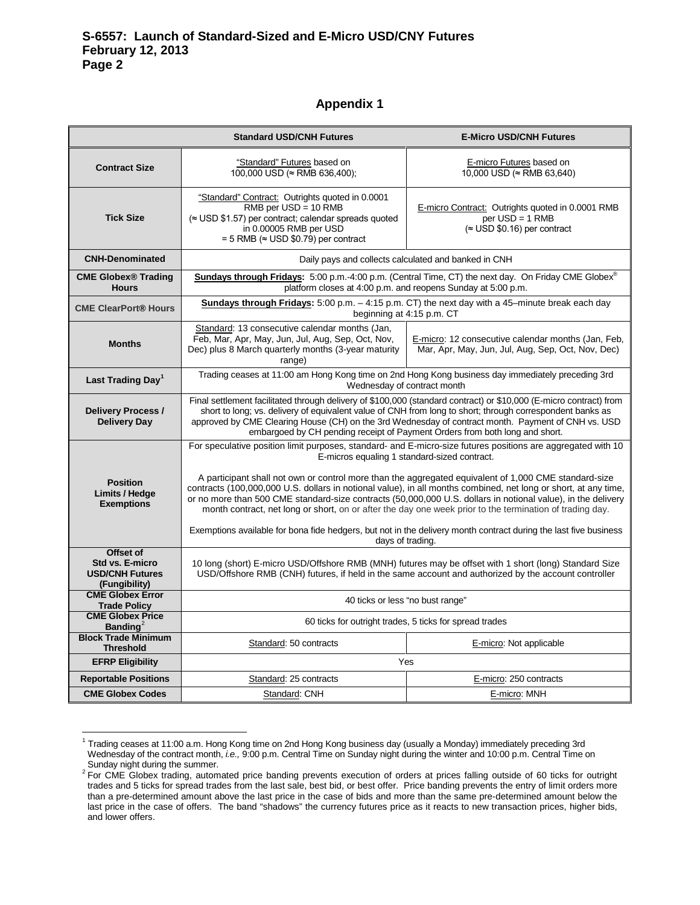#### **Appendix 1**

|                                                                         | <b>Standard USD/CNH Futures</b>                                                                                                                                                                                                                                                                                                                                                                                                                                                                                                                                                                                                                                                                                                                              | <b>E-Micro USD/CNH Futures</b>                                                                               |  |
|-------------------------------------------------------------------------|--------------------------------------------------------------------------------------------------------------------------------------------------------------------------------------------------------------------------------------------------------------------------------------------------------------------------------------------------------------------------------------------------------------------------------------------------------------------------------------------------------------------------------------------------------------------------------------------------------------------------------------------------------------------------------------------------------------------------------------------------------------|--------------------------------------------------------------------------------------------------------------|--|
| <b>Contract Size</b>                                                    | "Standard" Futures based on<br>$100,000$ USD ( $\approx$ RMB 636,400);                                                                                                                                                                                                                                                                                                                                                                                                                                                                                                                                                                                                                                                                                       | E-micro Futures based on<br>10,000 USD (≈ RMB 63,640)                                                        |  |
| <b>Tick Size</b>                                                        | "Standard" Contract: Outrights quoted in 0.0001<br>$RMB$ per USD = 10 RMB<br>(≈ USD \$1.57) per contract; calendar spreads quoted<br>in 0.00005 RMB per USD<br>= 5 RMB ( $\approx$ USD \$0.79) per contract                                                                                                                                                                                                                                                                                                                                                                                                                                                                                                                                                  | E-micro Contract: Outrights quoted in 0.0001 RMB<br>$per$ USD = 1 RMB<br>$(\approx$ USD \$0.16) per contract |  |
| <b>CNH-Denominated</b>                                                  | Daily pays and collects calculated and banked in CNH                                                                                                                                                                                                                                                                                                                                                                                                                                                                                                                                                                                                                                                                                                         |                                                                                                              |  |
| <b>CME Globex® Trading</b><br><b>Hours</b>                              | Sundays through Fridays: 5:00 p.m.-4:00 p.m. (Central Time, CT) the next day. On Friday CME Globex®<br>platform closes at 4:00 p.m. and reopens Sunday at 5:00 p.m.                                                                                                                                                                                                                                                                                                                                                                                                                                                                                                                                                                                          |                                                                                                              |  |
| <b>CME ClearPort® Hours</b>                                             | Sundays through Fridays: 5:00 p.m. - 4:15 p.m. CT) the next day with a 45-minute break each day<br>beginning at 4:15 p.m. CT                                                                                                                                                                                                                                                                                                                                                                                                                                                                                                                                                                                                                                 |                                                                                                              |  |
| <b>Months</b>                                                           | Standard: 13 consecutive calendar months (Jan,<br>Feb, Mar, Apr, May, Jun, Jul, Aug, Sep, Oct, Nov,<br>Dec) plus 8 March quarterly months (3-year maturity<br>range)                                                                                                                                                                                                                                                                                                                                                                                                                                                                                                                                                                                         | E-micro: 12 consecutive calendar months (Jan, Feb,<br>Mar, Apr, May, Jun, Jul, Aug, Sep, Oct, Nov, Dec)      |  |
| Last Trading Day <sup>1</sup>                                           | Trading ceases at 11:00 am Hong Kong time on 2nd Hong Kong business day immediately preceding 3rd<br>Wednesday of contract month                                                                                                                                                                                                                                                                                                                                                                                                                                                                                                                                                                                                                             |                                                                                                              |  |
| <b>Delivery Process /</b><br><b>Delivery Day</b>                        | Final settlement facilitated through delivery of \$100,000 (standard contract) or \$10,000 (E-micro contract) from<br>short to long; vs. delivery of equivalent value of CNH from long to short; through correspondent banks as<br>approved by CME Clearing House (CH) on the 3rd Wednesday of contract month. Payment of CNH vs. USD<br>embargoed by CH pending receipt of Payment Orders from both long and short.                                                                                                                                                                                                                                                                                                                                         |                                                                                                              |  |
| <b>Position</b><br>Limits / Hedge<br><b>Exemptions</b>                  | For speculative position limit purposes, standard- and E-micro-size futures positions are aggregated with 10<br>E-micros equaling 1 standard-sized contract.<br>A participant shall not own or control more than the aggregated equivalent of 1,000 CME standard-size<br>contracts (100,000,000 U.S. dollars in notional value), in all months combined, net long or short, at any time,<br>or no more than 500 CME standard-size contracts (50,000,000 U.S. dollars in notional value), in the delivery<br>month contract, net long or short, on or after the day one week prior to the termination of trading day.<br>Exemptions available for bona fide hedgers, but not in the delivery month contract during the last five business<br>days of trading. |                                                                                                              |  |
| Offset of<br>Std vs. E-micro<br><b>USD/CNH Futures</b><br>(Fungibility) | 10 long (short) E-micro USD/Offshore RMB (MNH) futures may be offset with 1 short (long) Standard Size<br>USD/Offshore RMB (CNH) futures, if held in the same account and authorized by the account controller                                                                                                                                                                                                                                                                                                                                                                                                                                                                                                                                               |                                                                                                              |  |
| <b>CME Globex Error</b><br><b>Trade Policy</b>                          | 40 ticks or less "no bust range"                                                                                                                                                                                                                                                                                                                                                                                                                                                                                                                                                                                                                                                                                                                             |                                                                                                              |  |
| <b>CME Globex Price</b><br><b>Banding</b> <sup>2</sup>                  | 60 ticks for outright trades, 5 ticks for spread trades                                                                                                                                                                                                                                                                                                                                                                                                                                                                                                                                                                                                                                                                                                      |                                                                                                              |  |
| <b>Block Trade Minimum</b><br><b>Threshold</b>                          | Standard: 50 contracts                                                                                                                                                                                                                                                                                                                                                                                                                                                                                                                                                                                                                                                                                                                                       | E-micro: Not applicable                                                                                      |  |
| <b>EFRP Eligibility</b>                                                 |                                                                                                                                                                                                                                                                                                                                                                                                                                                                                                                                                                                                                                                                                                                                                              | Yes                                                                                                          |  |
| <b>Reportable Positions</b>                                             | Standard: 25 contracts                                                                                                                                                                                                                                                                                                                                                                                                                                                                                                                                                                                                                                                                                                                                       | E-micro: 250 contracts                                                                                       |  |
| <b>CME Globex Codes</b>                                                 | Standard: CNH                                                                                                                                                                                                                                                                                                                                                                                                                                                                                                                                                                                                                                                                                                                                                | E-micro: MNH                                                                                                 |  |

 $1$  Trading ceases at 11:00 a.m. Hong Kong time on 2nd Hong Kong business day (usually a Monday) immediately preceding 3rd Wednesday of the contract month, *i.e.,* 9:00 p.m. Central Time on Sunday night during the winter and 10:00 p.m. Central Time on

<span id="page-1-1"></span><span id="page-1-0"></span>Sunday night during the summer.<br><sup>2</sup> For CME Globex trading, automated price banding prevents execution of orders at prices falling outside of 60 ticks for outright trades and 5 ticks for spread trades from the last sale, best bid, or best offer. Price banding prevents the entry of limit orders more than a pre-determined amount above the last price in the case of bids and more than the same pre-determined amount below the last price in the case of offers. The band "shadows" the currency futures price as it reacts to new transaction prices, higher bids, and lower offers.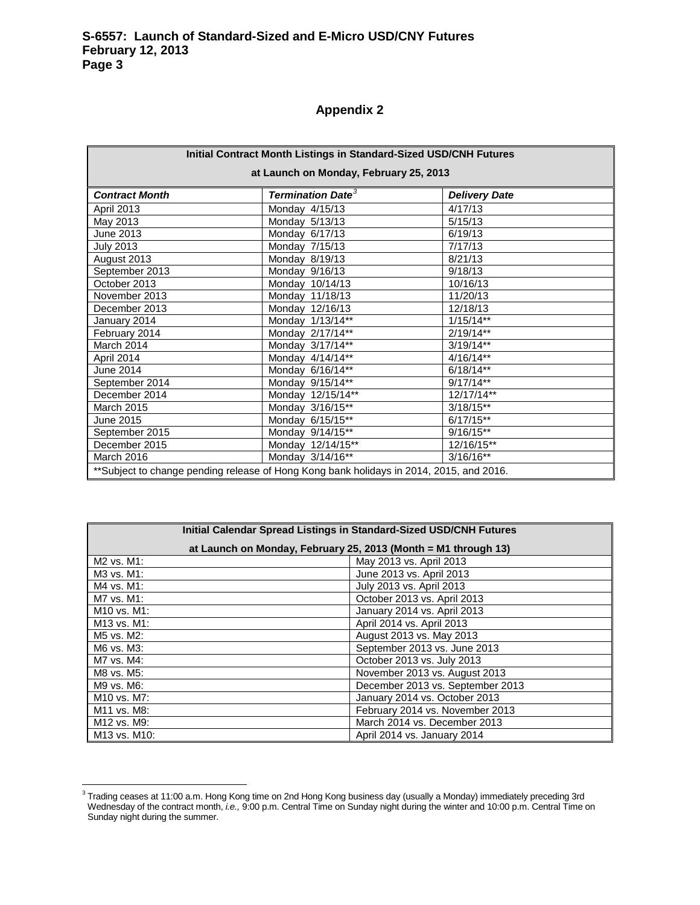# **Appendix 2**

| Initial Contract Month Listings in Standard-Sized USD/CNH Futures                       |                                     |                      |  |
|-----------------------------------------------------------------------------------------|-------------------------------------|----------------------|--|
| at Launch on Monday, February 25, 2013                                                  |                                     |                      |  |
| <b>Contract Month</b>                                                                   | <b>Termination Date<sup>3</sup></b> | <b>Delivery Date</b> |  |
|                                                                                         |                                     |                      |  |
| April 2013                                                                              | Monday 4/15/13                      | 4/17/13              |  |
| May 2013                                                                                | Monday 5/13/13                      | 5/15/13              |  |
| June 2013                                                                               | Monday 6/17/13                      | 6/19/13              |  |
| <b>July 2013</b>                                                                        | Monday 7/15/13                      | 7/17/13              |  |
| August 2013                                                                             | Monday 8/19/13                      | 8/21/13              |  |
| September 2013                                                                          | Monday 9/16/13                      | 9/18/13              |  |
| October 2013                                                                            | Monday 10/14/13                     | 10/16/13             |  |
| November 2013                                                                           | Monday 11/18/13                     | 11/20/13             |  |
| December 2013                                                                           | Monday 12/16/13                     | 12/18/13             |  |
| January 2014                                                                            | Monday 1/13/14**                    | $1/15/14**$          |  |
| February 2014                                                                           | Monday 2/17/14**                    | $2/19/14**$          |  |
| March 2014                                                                              | Monday 3/17/14**                    | $3/19/14**$          |  |
| April 2014                                                                              | Monday $4/14/14**$                  | $4/16/14**$          |  |
| June 2014                                                                               | Monday 6/16/14**                    | $6/18/14**$          |  |
| September 2014                                                                          | Monday 9/15/14**                    | $9/17/14**$          |  |
| December 2014                                                                           | Monday 12/15/14**                   | 12/17/14**           |  |
| <b>March 2015</b>                                                                       | Monday 3/16/15**                    | $3/18/15**$          |  |
| June 2015                                                                               | Monday 6/15/15**                    | $6/17/15**$          |  |
| September 2015                                                                          | Monday 9/14/15**                    | $9/16/15***$         |  |
| December 2015                                                                           | Monday 12/14/15**                   | 12/16/15**           |  |
| March 2016                                                                              | Monday 3/14/16**                    | $3/16/16**$          |  |
| **Subject to change pending release of Hong Kong bank holidays in 2014, 2015, and 2016. |                                     |                      |  |

| Initial Calendar Spread Listings in Standard-Sized USD/CNH Futures |                                  |  |
|--------------------------------------------------------------------|----------------------------------|--|
| at Launch on Monday, February 25, 2013 (Month = M1 through 13)     |                                  |  |
| M <sub>2</sub> vs. M <sub>1</sub> :                                | May 2013 vs. April 2013          |  |
| M3 vs. M1:                                                         | June 2013 vs. April 2013         |  |
| M4 vs. M1:                                                         | July 2013 vs. April 2013         |  |
| M7 vs. M1:                                                         | October 2013 vs. April 2013      |  |
| M <sub>10</sub> vs. M <sub>1</sub> :                               | January 2014 vs. April 2013      |  |
| M13 vs. M1:                                                        | April 2014 vs. April 2013        |  |
| M <sub>5</sub> vs. M <sub>2</sub> :                                | August 2013 vs. May 2013         |  |
| M6 vs. M3:                                                         | September 2013 vs. June 2013     |  |
| M7 vs. M4:                                                         | October 2013 vs. July 2013       |  |
| M8 vs. M5:                                                         | November 2013 vs. August 2013    |  |
| M9 vs. M6:                                                         | December 2013 vs. September 2013 |  |
| M10 vs. M7:                                                        | January 2014 vs. October 2013    |  |
| M11 vs. M8:                                                        | February 2014 vs. November 2013  |  |
| M12 vs. M9:                                                        | March 2014 vs. December 2013     |  |
| M13 vs. M10:                                                       | April 2014 vs. January 2014      |  |

<span id="page-2-0"></span><sup>&</sup>lt;sub>3</sub><br>3 Trading ceases at 11:00 a.m. Hong Kong time on 2nd Hong Kong business day (usually a Monday) immediately preceding 3rd Wednesday of the contract month, *i.e.,* 9:00 p.m. Central Time on Sunday night during the winter and 10:00 p.m. Central Time on Sunday night during the summer.